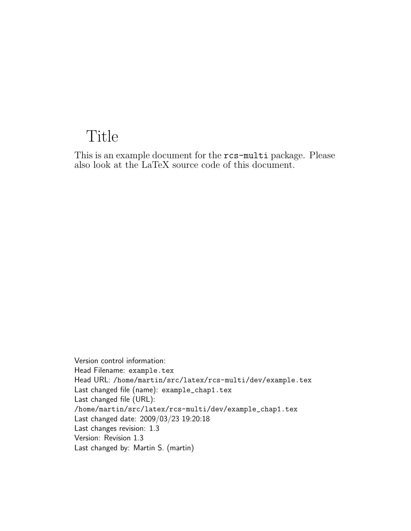# Title

This is an example document for the rcs-multi package. Please also look at the LaTeX source code of this document.

Version control information: Head Filename: example.tex Head URL: /home/martin/src/latex/rcs-multi/dev/example.tex Last changed file (name): example\_chap1.tex Last changed file (URL): /home/martin/src/latex/rcs-multi/dev/example\_chap1.tex Last changed date: 2009/03/23 19:20:18 Last changes revision: 1.3 Version: Revision 1.3 Last changed by: Martin S. (martin)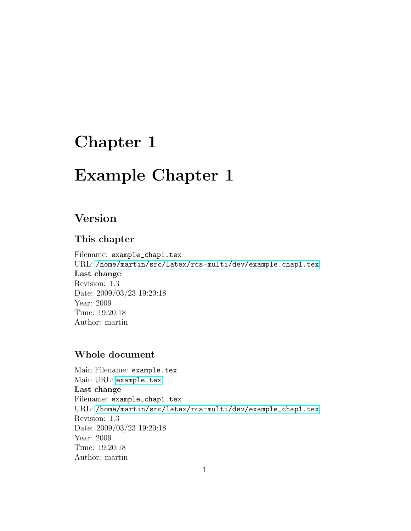# Chapter 1

# Example Chapter 1

## Version

### This chapter

Filename: example\_chap1.tex URL: [/home/martin/src/latex/rcs-multi/dev/example\\_chap1.tex](/home/martin/src/latex/rcs-multi/dev/example_chap1.tex) Last change Revision: 1.3 Date: 2009/03/23 19:20:18 Year: 2009 Time: 19:20:18 Author: martin

### Whole document

Main Filename: example.tex Main URL: <example.tex> Last change Filename: example\_chap1.tex URL: [/home/martin/src/latex/rcs-multi/dev/example\\_chap1.tex](/home/martin/src/latex/rcs-multi/dev/example_chap1.tex) Revision: 1.3 Date: 2009/03/23 19:20:18 Year: 2009 Time: 19:20:18 Author: martin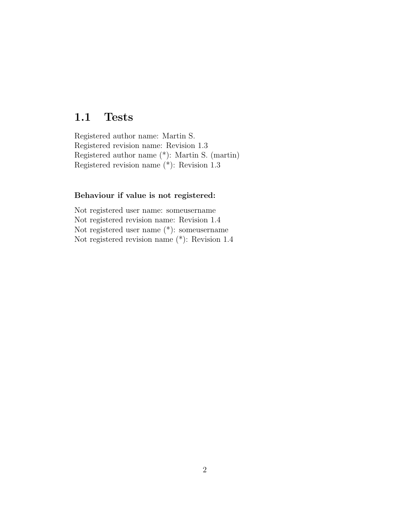### 1.1 Tests

Registered author name: Martin S. Registered revision name: Revision 1.3 Registered author name (\*): Martin S. (martin) Registered revision name (\*): Revision 1.3

#### Behaviour if value is not registered:

Not registered user name: someusername Not registered revision name: Revision 1.4 Not registered user name (\*): someusername Not registered revision name (\*): Revision 1.4